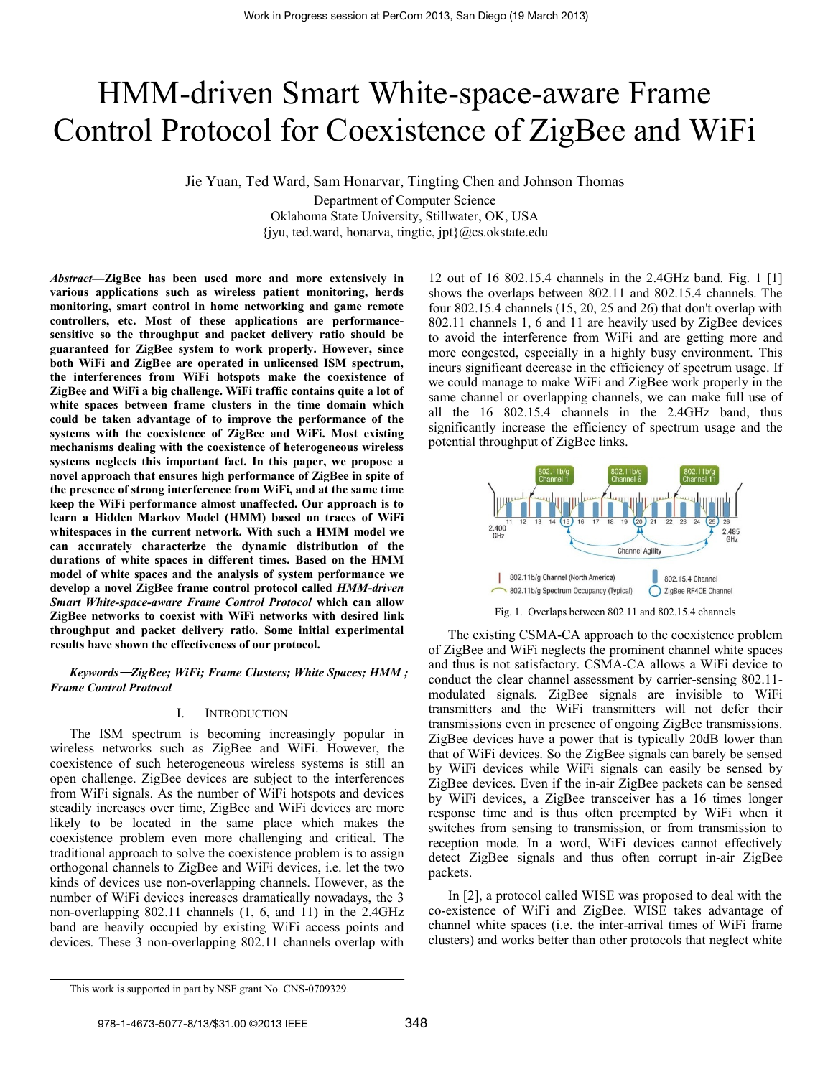# HMM-driven Smart White-space-aware Frame Control Protocol for Coexistence of ZigBee and WiFi

Jie Yuan, Ted Ward, Sam Honarvar, Tingting Chen and Johnson Thomas Department of Computer Science Oklahoma State University, Stillwater, OK, USA {jyu, ted.ward, honarva, tingtic, jpt}@cs.okstate.edu

*Abstract***—ZigBee has been used more and more extensively in various applications such as wireless patient monitoring, herds monitoring, smart control in home networking and game remote controllers, etc. Most of these applications are performancesensitive so the throughput and packet delivery ratio should be guaranteed for ZigBee system to work properly. However, since both WiFi and ZigBee are operated in unlicensed ISM spectrum, the interferences from WiFi hotspots make the coexistence of ZigBee and WiFi a big challenge. WiFi traffic contains quite a lot of white spaces between frame clusters in the time domain which could be taken advantage of to improve the performance of the systems with the coexistence of ZigBee and WiFi. Most existing mechanisms dealing with the coexistence of heterogeneous wireless systems neglects this important fact. In this paper, we propose a novel approach that ensures high performance of ZigBee in spite of the presence of strong interference from WiFi, and at the same time keep the WiFi performance almost unaffected. Our approach is to learn a Hidden Markov Model (HMM) based on traces of WiFi whitespaces in the current network. With such a HMM model we can accurately characterize the dynamic distribution of the durations of white spaces in different times. Based on the HMM model of white spaces and the analysis of system performance we develop a novel ZigBee frame control protocol called** *HMM-driven Smart White-space-aware Frame Control Protocol* **which can allow ZigBee networks to coexist with WiFi networks with desired link throughput and packet delivery ratio. Some initial experimental results have shown the effectiveness of our protocol.**

*Keywords*—*ZigBee; WiFi; Frame Clusters; White Spaces; HMM ; Frame Control Protocol*

## I. INTRODUCTION

The ISM spectrum is becoming increasingly popular in wireless networks such as ZigBee and WiFi. However, the coexistence of such heterogeneous wireless systems is still an open challenge. ZigBee devices are subject to the interferences from WiFi signals. As the number of WiFi hotspots and devices steadily increases over time, ZigBee and WiFi devices are more likely to be located in the same place which makes the coexistence problem even more challenging and critical. The traditional approach to solve the coexistence problem is to assign orthogonal channels to ZigBee and WiFi devices, i.e. let the two kinds of devices use non-overlapping channels. However, as the number of WiFi devices increases dramatically nowadays, the 3 non-overlapping 802.11 channels (1, 6, and 11) in the 2.4GHz band are heavily occupied by existing WiFi access points and devices. These 3 non-overlapping 802.11 channels overlap with

12 out of 16 802.15.4 channels in the 2.4GHz band. Fig. 1 [1] shows the overlaps between 802.11 and 802.15.4 channels. The four 802.15.4 channels (15, 20, 25 and 26) that don't overlap with 802.11 channels 1, 6 and 11 are heavily used by ZigBee devices to avoid the interference from WiFi and are getting more and more congested, especially in a highly busy environment. This incurs significant decrease in the efficiency of spectrum usage. If we could manage to make WiFi and ZigBee work properly in the same channel or overlapping channels, we can make full use of all the 16 802.15.4 channels in the 2.4GHz band, thus significantly increase the efficiency of spectrum usage and the potential throughput of ZigBee links.



Fig. 1. Overlaps between 802.11 and 802.15.4 channels

The existing CSMA-CA approach to the coexistence problem of ZigBee and WiFi neglects the prominent channel white spaces and thus is not satisfactory. CSMA-CA allows a WiFi device to conduct the clear channel assessment by carrier-sensing 802.11 modulated signals. ZigBee signals are invisible to WiFi transmitters and the WiFi transmitters will not defer their transmissions even in presence of ongoing ZigBee transmissions. ZigBee devices have a power that is typically 20dB lower than that of WiFi devices. So the ZigBee signals can barely be sensed by WiFi devices while WiFi signals can easily be sensed by ZigBee devices. Even if the in-air ZigBee packets can be sensed by WiFi devices, a ZigBee transceiver has a 16 times longer response time and is thus often preempted by WiFi when it switches from sensing to transmission, or from transmission to reception mode. In a word, WiFi devices cannot effectively detect ZigBee signals and thus often corrupt in-air ZigBee packets.

In [2], a protocol called WISE was proposed to deal with the co-existence of WiFi and ZigBee. WISE takes advantage of channel white spaces (i.e. the inter-arrival times of WiFi frame clusters) and works better than other protocols that neglect white

This work is supported in part by NSF grant No. CNS-0709329.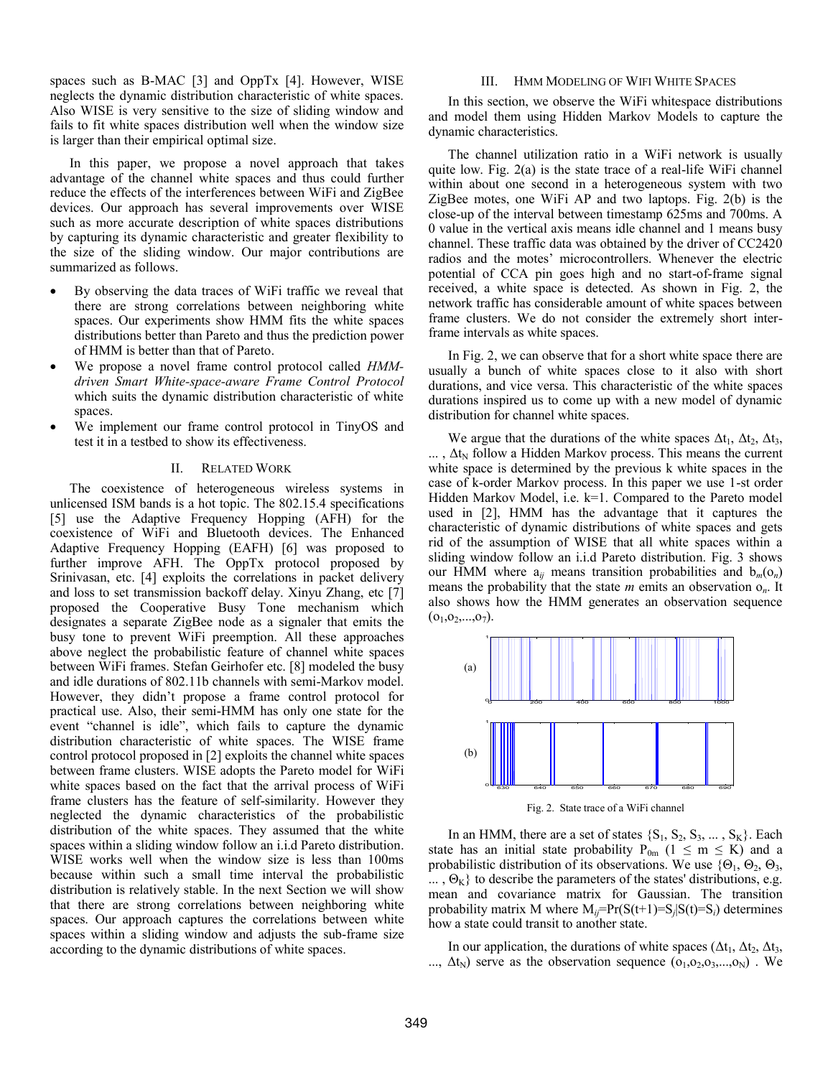spaces such as B-MAC [3] and OppTx [4]. However, WISE neglects the dynamic distribution characteristic of white spaces. Also WISE is very sensitive to the size of sliding window and fails to fit white spaces distribution well when the window size is larger than their empirical optimal size.

In this paper, we propose a novel approach that takes advantage of the channel white spaces and thus could further reduce the effects of the interferences between WiFi and ZigBee devices. Our approach has several improvements over WISE such as more accurate description of white spaces distributions by capturing its dynamic characteristic and greater flexibility to the size of the sliding window. Our major contributions are summarized as follows.

- By observing the data traces of WiFi traffic we reveal that there are strong correlations between neighboring white spaces. Our experiments show HMM fits the white spaces distributions better than Pareto and thus the prediction power of HMM is better than that of Pareto.
- We propose a novel frame control protocol called *HMMdriven Smart White-space-aware Frame Control Protocol* which suits the dynamic distribution characteristic of white spaces.
- We implement our frame control protocol in TinyOS and test it in a testbed to show its effectiveness.

### II. RELATED WORK

The coexistence of heterogeneous wireless systems in unlicensed ISM bands is a hot topic. The 802.15.4 specifications [5] use the Adaptive Frequency Hopping (AFH) for the coexistence of WiFi and Bluetooth devices. The Enhanced Adaptive Frequency Hopping (EAFH) [6] was proposed to further improve AFH. The OppTx protocol proposed by Srinivasan, etc. [4] exploits the correlations in packet delivery and loss to set transmission backoff delay. Xinyu Zhang, etc [7] proposed the Cooperative Busy Tone mechanism which designates a separate ZigBee node as a signaler that emits the busy tone to prevent WiFi preemption. All these approaches above neglect the probabilistic feature of channel white spaces between WiFi frames. Stefan Geirhofer etc. [8] modeled the busy and idle durations of 802.11b channels with semi-Markov model. However, they didn't propose a frame control protocol for practical use. Also, their semi-HMM has only one state for the event "channel is idle", which fails to capture the dynamic distribution characteristic of white spaces. The WISE frame control protocol proposed in [2] exploits the channel white spaces between frame clusters. WISE adopts the Pareto model for WiFi white spaces based on the fact that the arrival process of WiFi frame clusters has the feature of self-similarity. However they neglected the dynamic characteristics of the probabilistic distribution of the white spaces. They assumed that the white spaces within a sliding window follow an i.i.d Pareto distribution. WISE works well when the window size is less than 100ms because within such a small time interval the probabilistic distribution is relatively stable. In the next Section we will show that there are strong correlations between neighboring white spaces. Our approach captures the correlations between white spaces within a sliding window and adjusts the sub-frame size according to the dynamic distributions of white spaces.

### III. HMM MODELING OF WIFI WHITE SPACES

In this section, we observe the WiFi whitespace distributions and model them using Hidden Markov Models to capture the dynamic characteristics.

The channel utilization ratio in a WiFi network is usually quite low. Fig. 2(a) is the state trace of a real-life WiFi channel within about one second in a heterogeneous system with two ZigBee motes, one WiFi AP and two laptops. Fig. 2(b) is the close-up of the interval between timestamp 625ms and 700ms. A 0 value in the vertical axis means idle channel and 1 means busy channel. These traffic data was obtained by the driver of CC2420 radios and the motes' microcontrollers. Whenever the electric potential of CCA pin goes high and no start-of-frame signal received, a white space is detected. As shown in Fig. 2, the network traffic has considerable amount of white spaces between frame clusters. We do not consider the extremely short interframe intervals as white spaces.

In Fig. 2, we can observe that for a short white space there are usually a bunch of white spaces close to it also with short durations, and vice versa. This characteristic of the white spaces durations inspired us to come up with a new model of dynamic distribution for channel white spaces.

We argue that the durations of the white spaces  $\Delta t_1$ ,  $\Delta t_2$ ,  $\Delta t_3$ ,  $\ldots$ ,  $\Delta t_N$  follow a Hidden Markov process. This means the current white space is determined by the previous k white spaces in the case of k-order Markov process. In this paper we use 1-st order Hidden Markov Model, i.e. k=1. Compared to the Pareto model used in [2], HMM has the advantage that it captures the characteristic of dynamic distributions of white spaces and gets rid of the assumption of WISE that all white spaces within a sliding window follow an i.i.d Pareto distribution. Fig. 3 shows our HMM where  $a_{ij}$  means transition probabilities and  $b_m(o_n)$ means the probability that the state *m* emits an observation o*n*. It also shows how the HMM generates an observation sequence  $(o_1, o_2, \ldots, o_7)$ .



Fig. 2. State trace of a WiFi channel

In an HMM, there are a set of states  $\{S_1, S_2, S_3, \dots, S_K\}$ . Each state has an initial state probability  $P_{0m}$  ( $1 \le m \le K$ ) and a probabilistic distribution of its observations. We use  $\{\Theta_1, \Theta_2, \Theta_3, \Theta_4\}$  $\ldots$ ,  $\Theta_{K}$ } to describe the parameters of the states' distributions, e.g. mean and covariance matrix for Gaussian. The transition probability matrix M where  $M_{ij}$ =Pr(S(t+1)=S<sub>j</sub>|S(t)=S<sub>i</sub>) determines how a state could transit to another state.

In our application, the durations of white spaces ( $\Delta t_1$ ,  $\Delta t_2$ ,  $\Delta t_3$ , ...,  $\Delta t_N$ ) serve as the observation sequence  $(o_1, o_2, o_3, \ldots, o_N)$ . We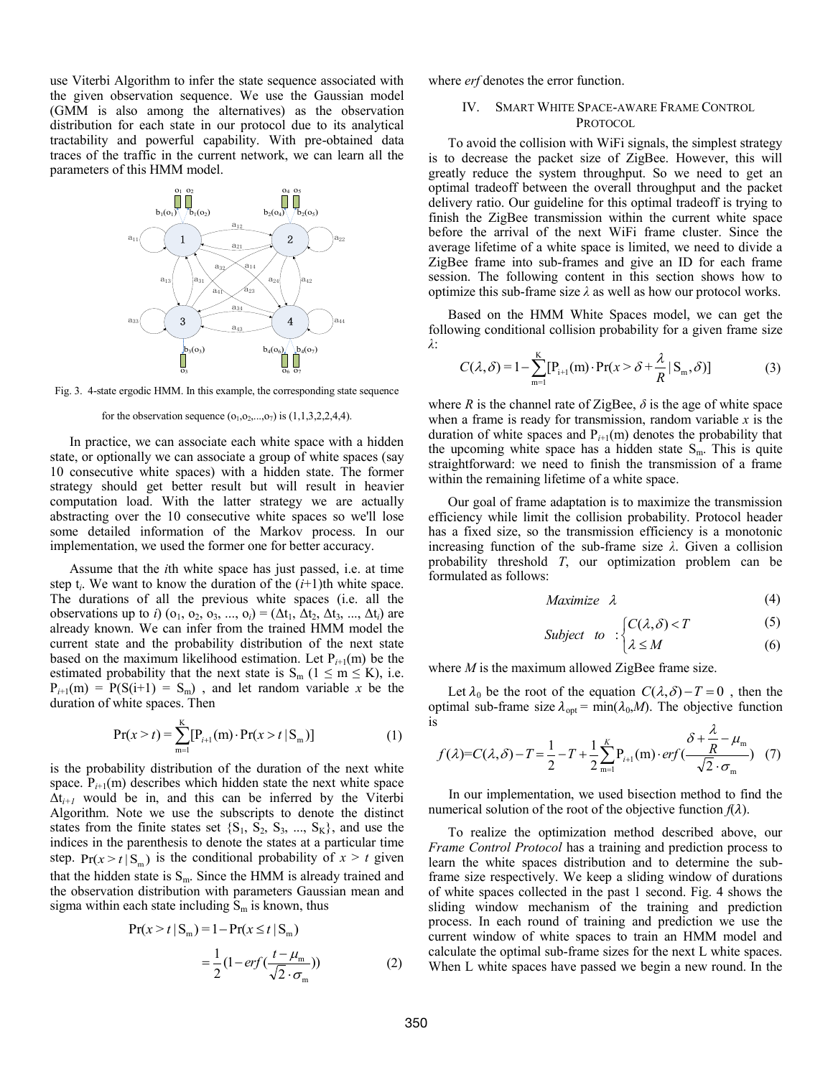use Viterbi Algorithm to infer the state sequence associated with the given observation sequence. We use the Gaussian model (GMM is also among the alternatives) as the observation distribution for each state in our protocol due to its analytical tractability and powerful capability. With pre-obtained data traces of the traffic in the current network, we can learn all the parameters of this HMM model.



Fig. 3. 4-state ergodic HMM. In this example, the corresponding state sequence

#### for the observation sequence  $(o_1, o_2, ..., o_7)$  is  $(1,1,3,2,2,4,4)$ .

In practice, we can associate each white space with a hidden state, or optionally we can associate a group of white spaces (say 10 consecutive white spaces) with a hidden state. The former strategy should get better result but will result in heavier computation load. With the latter strategy we are actually abstracting over the 10 consecutive white spaces so we'll lose some detailed information of the Markov process. In our implementation, we used the former one for better accuracy.

Assume that the *i*th white space has just passed, i.e. at time step  $t_i$ . We want to know the duration of the  $(i+1)$ th white space. The durations of all the previous white spaces (i.e. all the observations up to *i*) (o<sub>1</sub>, o<sub>2</sub>, o<sub>3</sub>, ..., o<sub>*i*</sub>) = ( $\Delta t_1$ ,  $\Delta t_2$ ,  $\Delta t_3$ , ...,  $\Delta t_i$ ) are already known. We can infer from the trained HMM model the current state and the probability distribution of the next state based on the maximum likelihood estimation. Let  $P_{i+1}(m)$  be the estimated probability that the next state is  $S_m$  ( $1 \le m \le K$ ), i.e.  $P_{i+1}(m) = P(S(i+1) = S_m)$ , and let random variable x be the duration of white spaces. Then

$$
Pr(x > t) = \sum_{m=1}^{K} [P_{i+1}(m) \cdot Pr(x > t | S_m)]
$$
 (1)

is the probability distribution of the duration of the next white space.  $P_{i+1}(m)$  describes which hidden state the next white space  $\Delta t_{i+1}$  would be in, and this can be inferred by the Viterbi Algorithm. Note we use the subscripts to denote the distinct states from the finite states set  $\{S_1, S_2, S_3, ..., S_K\}$ , and use the indices in the parenthesis to denote the states at a particular time step.  $Pr(x > t | S_m)$  is the conditional probability of  $x > t$  given that the hidden state is  $S_m$ . Since the HMM is already trained and the observation distribution with parameters Gaussian mean and sigma within each state including  $S_m$  is known, thus

$$
Pr(x > t | S_m) = 1 - Pr(x \le t | S_m)
$$
  
= 
$$
\frac{1}{2} (1 - erf(\frac{t - \mu_m}{\sqrt{2} \cdot \sigma_m}))
$$
 (2)

where *erf* denotes the error function.

## SMART WHITE SPACE-AWARE FRAME CONTROL PROTOCOL.

To avoid the collision with WiFi signals, the simplest strategy is to decrease the packet size of ZigBee. However, this will greatly reduce the system throughput. So we need to get an optimal tradeoff between the overall throughput and the packet delivery ratio. Our guideline for this optimal tradeoff is trying to finish the ZigBee transmission within the current white space before the arrival of the next WiFi frame cluster. Since the average lifetime of a white space is limited, we need to divide a ZigBee frame into sub-frames and give an ID for each frame session. The following content in this section shows how to optimize this sub-frame size *λ* as well as how our protocol works.

Based on the HMM White Spaces model, we can get the following conditional collision probability for a given frame size *λ*:

$$
C(\lambda, \delta) = 1 - \sum_{m=1}^{K} [P_{i+1}(m) \cdot Pr(x > \delta + \frac{\lambda}{R} | S_m, \delta)] \tag{3}
$$

where *R* is the channel rate of ZigBee,  $\delta$  is the age of white space when a frame is ready for transmission, random variable *x* is the duration of white spaces and  $P_{i+1}(m)$  denotes the probability that the upcoming white space has a hidden state  $S_m$ . This is quite straightforward: we need to finish the transmission of a frame within the remaining lifetime of a white space.

Our goal of frame adaptation is to maximize the transmission efficiency while limit the collision probability. Protocol header has a fixed size, so the transmission efficiency is a monotonic increasing function of the sub-frame size *λ*. Given a collision probability threshold *T*, our optimization problem can be formulated as follows:

$$
Maximize \quad \lambda \tag{4}
$$

$$
Subject \quad to \quad \begin{cases} C(\lambda, \delta) < T \end{cases} \tag{5}
$$

$$
\mathcal{A} \leq M \tag{6}
$$

where *M* is the maximum allowed ZigBee frame size.

Let  $\lambda_0$  be the root of the equation  $C(\lambda, \delta) - T = 0$ , then the optimal sub-frame size  $\lambda_{opt} = \min(\lambda_0, M)$ . The objective function is λ

$$
f(\lambda) = C(\lambda, \delta) - T = \frac{1}{2} - T + \frac{1}{2} \sum_{m=1}^{K} P_{i+1}(m) \cdot erf(\frac{\delta + \frac{\lambda}{R} - \mu_m}{\sqrt{2} \cdot \sigma_m}) \tag{7}
$$

 In our implementation, we used bisection method to find the numerical solution of the root of the objective function  $f(\lambda)$ .

To realize the optimization method described above, our *Frame Control Protocol* has a training and prediction process to learn the white spaces distribution and to determine the subframe size respectively. We keep a sliding window of durations of white spaces collected in the past 1 second. Fig. 4 shows the sliding window mechanism of the training and prediction process. In each round of training and prediction we use the current window of white spaces to train an HMM model and calculate the optimal sub-frame sizes for the next L white spaces. When L white spaces have passed we begin a new round. In the **Erf**<br>  $\frac{m}{2}$ ,  $\frac{m}{2}$ ,  $\frac{m}{2}$ ,  $\frac{m}{2}$ ,  $\frac{m}{2}$ ,  $\frac{m}{2}$ ,  $\frac{m}{2}$ ,  $\frac{m}{2}$ ,  $\frac{m}{2}$ ,  $\frac{m}{2}$ ,  $\frac{m}{2}$ ,  $\frac{m}{2}$ ,  $\frac{m}{2}$ ,  $\frac{m}{2}$ ,  $\frac{m}{2}$ ,  $\frac{m}{2}$ ,  $\frac{m}{2}$ ,  $\frac{m}{2}$ ,  $\frac{m}{2}$ ,  $\frac{m$